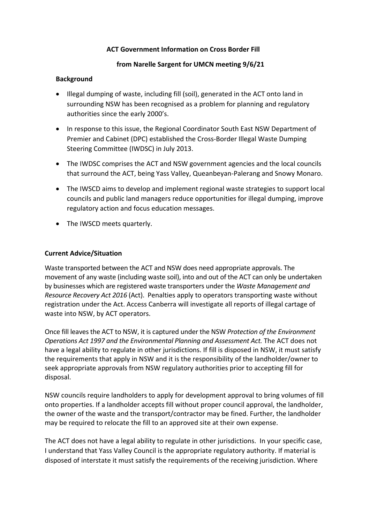## **ACT Government Information on Cross Border Fill**

## **from Narelle Sargent for UMCN meeting 9/6/21**

## **Background**

- Illegal dumping of waste, including fill (soil), generated in the ACT onto land in surrounding NSW has been recognised as a problem for planning and regulatory authorities since the early 2000's.
- In response to this issue, the Regional Coordinator South East NSW Department of Premier and Cabinet (DPC) established the Cross-Border Illegal Waste Dumping Steering Committee (IWDSC) in July 2013.
- The IWDSC comprises the ACT and NSW government agencies and the local councils that surround the ACT, being Yass Valley, Queanbeyan-Palerang and Snowy Monaro.
- The IWSCD aims to develop and implement regional waste strategies to support local councils and public land managers reduce opportunities for illegal dumping, improve regulatory action and focus education messages.
- The IWSCD meets quarterly.

## **Current Advice/Situation**

Waste transported between the ACT and NSW does need appropriate approvals. The movement of any waste (including waste soil), into and out of the ACT can only be undertaken by businesses which are registered waste transporters under the *Waste Management and Resource Recovery Act 2016* (Act). Penalties apply to operators transporting waste without registration under the Act. Access Canberra will investigate all reports of illegal cartage of waste into NSW, by ACT operators.

Once fill leaves the ACT to NSW, it is captured under the NSW *Protection of the Environment Operations Act 1997 and the Environmental Planning and Assessment Act.* The ACT does not have a legal ability to regulate in other jurisdictions. If fill is disposed in NSW, it must satisfy the requirements that apply in NSW and it is the responsibility of the landholder/owner to seek appropriate approvals from NSW regulatory authorities prior to accepting fill for disposal.

NSW councils require landholders to apply for development approval to bring volumes of fill onto properties. If a landholder accepts fill without proper council approval, the landholder, the owner of the waste and the transport/contractor may be fined. Further, the landholder may be required to relocate the fill to an approved site at their own expense.

The ACT does not have a legal ability to regulate in other jurisdictions. In your specific case, I understand that Yass Valley Council is the appropriate regulatory authority. If material is disposed of interstate it must satisfy the requirements of the receiving jurisdiction. Where